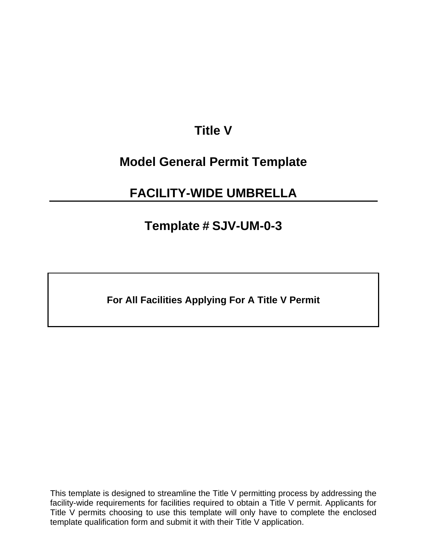## **Title V**

### **Model General Permit Template**

## **FACILITY-WIDE UMBRELLA**

### **Template # SJV-UM-0-3**

**For All Facilities Applying For A Title V Permit** 

This template is designed to streamline the Title V permitting process by addressing the facility-wide requirements for facilities required to obtain a Title V permit. Applicants for Title V permits choosing to use this template will only have to complete the enclosed template qualification form and submit it with their Title V application.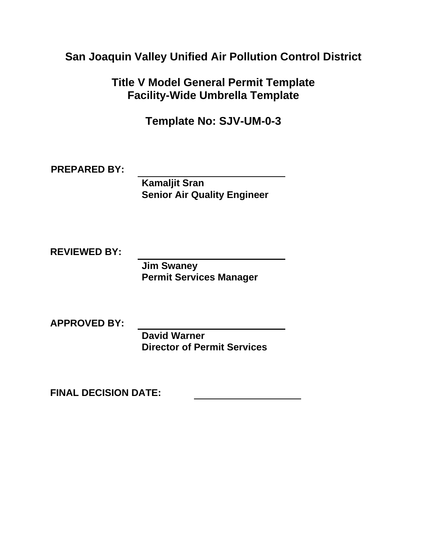**San Joaquin Valley Unified Air Pollution Control District** 

**Title V Model General Permit Template Facility-Wide Umbrella Template** 

**Template No: SJV-UM-0-3** 

**PREPARED BY:** 

**Kamaljit Sran Senior Air Quality Engineer** 

**REVIEWED BY:** 

**Jim Swaney Permit Services Manager** 

**APPROVED BY:** 

**David Warner Director of Permit Services** 

**FINAL DECISION DATE:**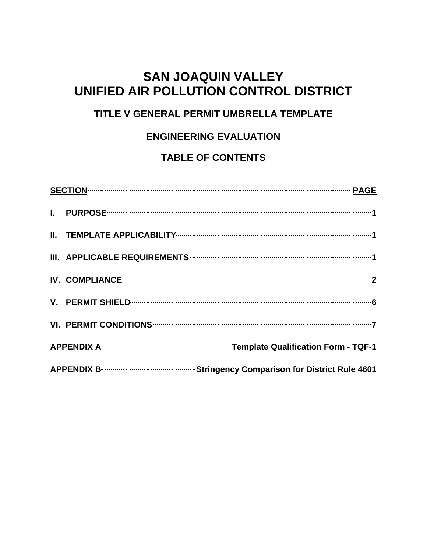### **SAN JOAQUIN VALLEY UNIFIED AIR POLLUTION CONTROL DISTRICT**

### **TITLE V GENERAL PERMIT UMBRELLA TEMPLATE**

### **ENGINEERING EVALUATION**

### **TABLE OF CONTENTS**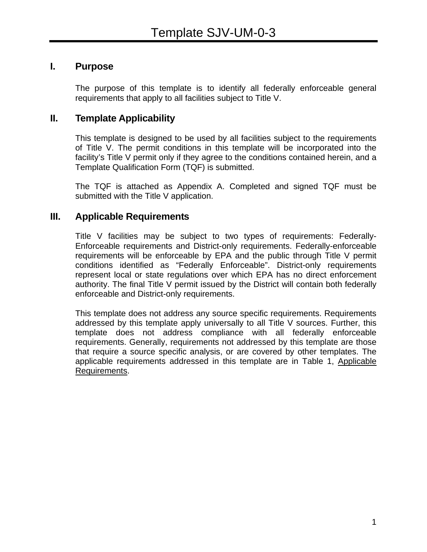### <span id="page-3-0"></span>**I. Purpose**

The purpose of this template is to identify all federally enforceable general requirements that apply to all facilities subject to Title V.

### **II. Template Applicability**

This template is designed to be used by all facilities subject to the requirements of Title V. The permit conditions in this template will be incorporated into the facility's Title V permit only if they agree to the conditions contained herein, and a Template Qualification Form (TQF) is submitted.

The TQF is attached as Appendix A. Completed and signed TQF must be submitted with the Title V application.

### **III. Applicable Requirements**

Title V facilities may be subject to two types of requirements: Federally-Enforceable requirements and District-only requirements. Federally-enforceable requirements will be enforceable by EPA and the public through Title V permit conditions identified as "Federally Enforceable". District-only requirements represent local or state regulations over which EPA has no direct enforcement authority. The final Title V permit issued by the District will contain both federally enforceable and District-only requirements.

This template does not address any source specific requirements. Requirements addressed by this template apply universally to all Title V sources. Further, this template does not address compliance with all federally enforceable requirements. Generally, requirements not addressed by this template are those that require a source specific analysis, or are covered by other templates. The applicable requirements addressed in this template are in Table 1, Applicable Requirements.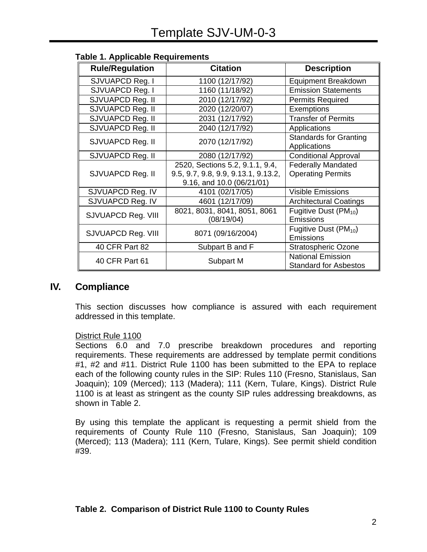| <b>Rule/Regulation</b> | <b>Citation</b>                                                                                     | <b>Description</b>                                       |
|------------------------|-----------------------------------------------------------------------------------------------------|----------------------------------------------------------|
| SJVUAPCD Reg. I        | 1100 (12/17/92)                                                                                     | Equipment Breakdown                                      |
| SJVUAPCD Reg. I        | 1160 (11/18/92)                                                                                     | <b>Emission Statements</b>                               |
| SJVUAPCD Reg. II       | 2010 (12/17/92)                                                                                     | <b>Permits Required</b>                                  |
| SJVUAPCD Reg. II       | 2020 (12/20/07)                                                                                     | <b>Exemptions</b>                                        |
| SJVUAPCD Reg. II       | 2031 (12/17/92)                                                                                     | <b>Transfer of Permits</b>                               |
| SJVUAPCD Reg. II       | 2040 (12/17/92)                                                                                     | Applications                                             |
| SJVUAPCD Reg. II       | 2070 (12/17/92)                                                                                     | <b>Standards for Granting</b><br>Applications            |
| SJVUAPCD Reg. II       | 2080 (12/17/92)                                                                                     | <b>Conditional Approval</b>                              |
| SJVUAPCD Reg. II       | 2520, Sections 5.2, 9.1.1, 9.4,<br>9.5, 9.7, 9.8, 9.9, 9.13.1, 9.13.2,<br>9.16, and 10.0 (06/21/01) | <b>Federally Mandated</b><br><b>Operating Permits</b>    |
| SJVUAPCD Reg. IV       | 4101 (02/17/05)                                                                                     | <b>Visible Emissions</b>                                 |
| SJVUAPCD Reg. IV       | 4601 (12/17/09)                                                                                     | <b>Architectural Coatings</b>                            |
| SJVUAPCD Reg. VIII     | 8021, 8031, 8041, 8051, 8061<br>(08/19/04)                                                          | Fugitive Dust $(PM_{10})$<br><b>Emissions</b>            |
| SJVUAPCD Reg. VIII     | 8071 (09/16/2004)                                                                                   | Fugitive Dust $(PM_{10})$<br>Emissions                   |
| 40 CFR Part 82         | Subpart B and F                                                                                     | <b>Stratospheric Ozone</b>                               |
| 40 CFR Part 61         | Subpart M                                                                                           | <b>National Emission</b><br><b>Standard for Asbestos</b> |

#### <span id="page-4-0"></span>**Table 1. Applicable Requirements**

### **IV. Compliance**

This section discusses how compliance is assured with each requirement addressed in this template.

#### District Rule 1100

Sections 6.0 and 7.0 prescribe breakdown procedures and reporting requirements. These requirements are addressed by template permit conditions #1, #2 and #11. District Rule 1100 has been submitted to the EPA to replace each of the following county rules in the SIP: Rules 110 (Fresno, Stanislaus, San Joaquin); 109 (Merced); 113 (Madera); 111 (Kern, Tulare, Kings). District Rule 1100 is at least as stringent as the county SIP rules addressing breakdowns, as shown in Table 2.

By using this template the applicant is requesting a permit shield from the requirements of County Rule 110 (Fresno, Stanislaus, San Joaquin); 109 (Merced); 113 (Madera); 111 (Kern, Tulare, Kings). See permit shield condition #39.

#### **Table 2. Comparison of District Rule 1100 to County Rules**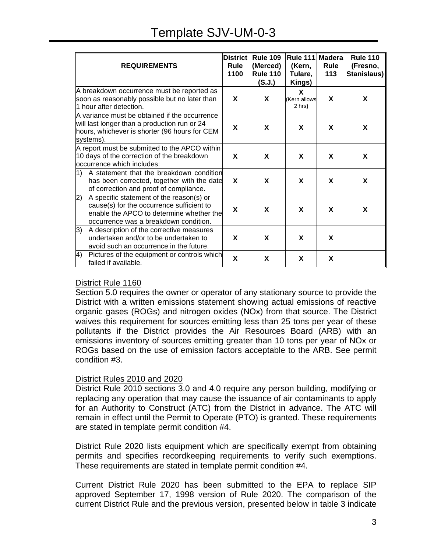## Template SJV-UM-0-3

| <b>REQUIREMENTS</b>                                                                                                                                                               | <b>District</b><br>Rule<br>1100 | <b>Rule 109</b><br>(Merced)<br><b>Rule 110</b><br>(S.J.) | <b>Rule 111</b><br>(Kern,<br>Tulare,<br>Kings) | <b>Madera</b><br>Rule<br>113 | <b>Rule 110</b><br>(Fresno,<br>Stanislaus) |
|-----------------------------------------------------------------------------------------------------------------------------------------------------------------------------------|---------------------------------|----------------------------------------------------------|------------------------------------------------|------------------------------|--------------------------------------------|
| A breakdown occurrence must be reported as<br>soon as reasonably possible but no later than<br>1 hour after detection.                                                            |                                 | X                                                        | X<br><b>Kern</b> allows<br>2 hrs)              | X                            | X                                          |
| A variance must be obtained if the occurrence<br>will last longer than a production run or 24<br>hours, whichever is shorter (96 hours for CEM<br>systems).                       |                                 | X                                                        | X                                              | X                            | X                                          |
| A report must be submitted to the APCO within<br>10 days of the correction of the breakdown<br>occurrence which includes:                                                         | X                               | X                                                        | X                                              | X                            | X                                          |
| A statement that the breakdown condition<br>$\vert 1)$<br>has been corrected, together with the date<br>of correction and proof of compliance.                                    | X                               | X                                                        | X                                              | X                            | X                                          |
| A specific statement of the reason(s) or<br> 2)<br>cause(s) for the occurrence sufficient to<br>enable the APCO to determine whether the<br>occurrence was a breakdown condition. | X                               | X                                                        | X                                              | X                            | X                                          |
| A description of the corrective measures<br>3)<br>undertaken and/or to be undertaken to<br>avoid such an occurrence in the future.                                                | X                               | X                                                        | X                                              | X                            |                                            |
| Pictures of the equipment or controls which<br>4)<br>failed if available.                                                                                                         | X                               | X                                                        | X                                              | X                            |                                            |

#### District Rule 1160

Section 5.0 requires the owner or operator of any stationary source to provide the District with a written emissions statement showing actual emissions of reactive organic gases (ROGs) and nitrogen oxides (NOx) from that source. The District waives this requirement for sources emitting less than 25 tons per year of these pollutants if the District provides the Air Resources Board (ARB) with an emissions inventory of sources emitting greater than 10 tons per year of NOx or ROGs based on the use of emission factors acceptable to the ARB. See permit condition #3.

#### District Rules 2010 and 2020

District Rule 2010 sections 3.0 and 4.0 require any person building, modifying or replacing any operation that may cause the issuance of air contaminants to apply for an Authority to Construct (ATC) from the District in advance. The ATC will remain in effect until the Permit to Operate (PTO) is granted. These requirements are stated in template permit condition #4.

District Rule 2020 lists equipment which are specifically exempt from obtaining permits and specifies recordkeeping requirements to verify such exemptions. These requirements are stated in template permit condition #4.

Current District Rule 2020 has been submitted to the EPA to replace SIP approved September 17, 1998 version of Rule 2020. The comparison of the current District Rule and the previous version, presented below in table 3 indicate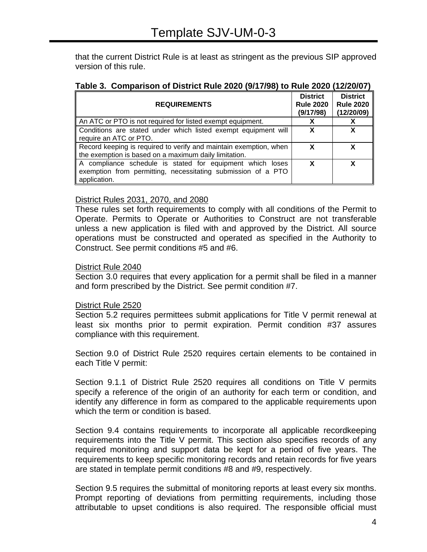that the current District Rule is at least as stringent as the previous SIP approved version of this rule.

| <b>REQUIREMENTS</b>                                                                                                                       | <b>District</b><br><b>Rule 2020</b><br>(9/17/98) | <b>District</b><br><b>Rule 2020</b><br>(12/20/09) |
|-------------------------------------------------------------------------------------------------------------------------------------------|--------------------------------------------------|---------------------------------------------------|
| An ATC or PTO is not required for listed exempt equipment.                                                                                |                                                  |                                                   |
| Conditions are stated under which listed exempt equipment will<br>require an ATC or PTO.                                                  | X                                                | X                                                 |
| Record keeping is required to verify and maintain exemption, when<br>the exemption is based on a maximum daily limitation.                | X                                                | x                                                 |
| A compliance schedule is stated for equipment which loses<br>exemption from permitting, necessitating submission of a PTO<br>application. | X                                                | x                                                 |

#### District Rules 2031, 2070, and 2080

These rules set forth requirements to comply with all conditions of the Permit to Operate. Permits to Operate or Authorities to Construct are not transferable unless a new application is filed with and approved by the District. All source operations must be constructed and operated as specified in the Authority to Construct. See permit conditions #5 and #6.

#### District Rule 2040

Section 3.0 requires that every application for a permit shall be filed in a manner and form prescribed by the District. See permit condition #7.

#### District Rule 2520

Section 5.2 requires permittees submit applications for Title V permit renewal at least six months prior to permit expiration. Permit condition #37 assures compliance with this requirement.

Section 9.0 of District Rule 2520 requires certain elements to be contained in each Title V permit:

Section 9.1.1 of District Rule 2520 requires all conditions on Title V permits specify a reference of the origin of an authority for each term or condition, and identify any difference in form as compared to the applicable requirements upon which the term or condition is based.

Section 9.4 contains requirements to incorporate all applicable recordkeeping requirements into the Title V permit. This section also specifies records of any required monitoring and support data be kept for a period of five years. The requirements to keep specific monitoring records and retain records for five years are stated in template permit conditions #8 and #9, respectively.

Section 9.5 requires the submittal of monitoring reports at least every six months. Prompt reporting of deviations from permitting requirements, including those attributable to upset conditions is also required. The responsible official must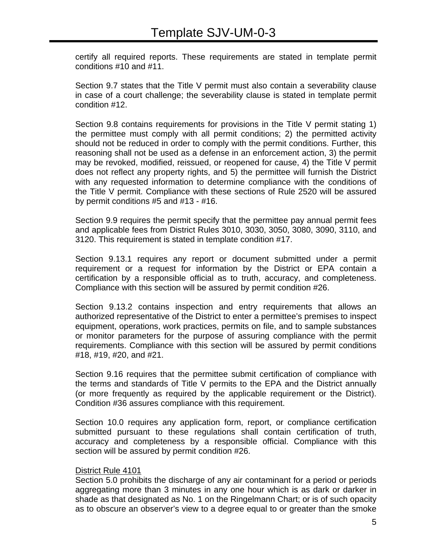certify all required reports. These requirements are stated in template permit conditions #10 and #11.

Section 9.7 states that the Title V permit must also contain a severability clause in case of a court challenge; the severability clause is stated in template permit condition #12.

Section 9.8 contains requirements for provisions in the Title V permit stating 1) the permittee must comply with all permit conditions; 2) the permitted activity should not be reduced in order to comply with the permit conditions. Further, this reasoning shall not be used as a defense in an enforcement action, 3) the permit may be revoked, modified, reissued, or reopened for cause, 4) the Title V permit does not reflect any property rights, and 5) the permittee will furnish the District with any requested information to determine compliance with the conditions of the Title V permit. Compliance with these sections of Rule 2520 will be assured by permit conditions #5 and #13 - #16.

Section 9.9 requires the permit specify that the permittee pay annual permit fees and applicable fees from District Rules 3010, 3030, 3050, 3080, 3090, 3110, and 3120. This requirement is stated in template condition #17.

Section 9.13.1 requires any report or document submitted under a permit requirement or a request for information by the District or EPA contain a certification by a responsible official as to truth, accuracy, and completeness. Compliance with this section will be assured by permit condition #26.

Section 9.13.2 contains inspection and entry requirements that allows an authorized representative of the District to enter a permittee's premises to inspect equipment, operations, work practices, permits on file, and to sample substances or monitor parameters for the purpose of assuring compliance with the permit requirements. Compliance with this section will be assured by permit conditions #18, #19, #20, and #21.

Section 9.16 requires that the permittee submit certification of compliance with the terms and standards of Title V permits to the EPA and the District annually (or more frequently as required by the applicable requirement or the District). Condition #36 assures compliance with this requirement.

Section 10.0 requires any application form, report, or compliance certification submitted pursuant to these regulations shall contain certification of truth, accuracy and completeness by a responsible official. Compliance with this section will be assured by permit condition #26.

#### District Rule 4101

Section 5.0 prohibits the discharge of any air contaminant for a period or periods aggregating more than 3 minutes in any one hour which is as dark or darker in shade as that designated as No. 1 on the Ringelmann Chart; or is of such opacity as to obscure an observer's view to a degree equal to or greater than the smoke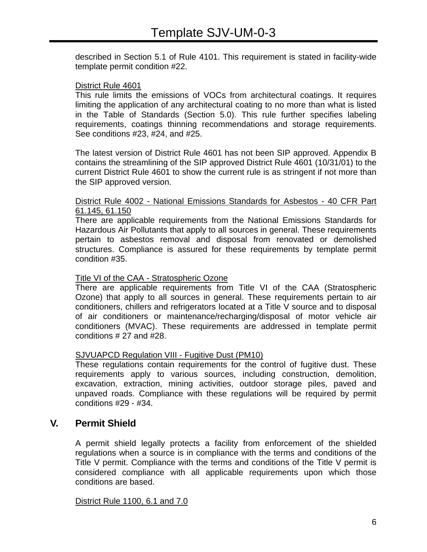described in Section 5.1 of Rule 4101. This requirement is stated in facility-wide template permit condition #22.

#### District Rule 4601

This rule limits the emissions of VOCs from architectural coatings. It requires limiting the application of any architectural coating to no more than what is listed in the Table of Standards (Section 5.0). This rule further specifies labeling requirements, coatings thinning recommendations and storage requirements. See conditions #23, #24, and #25.

The latest version of District Rule 4601 has not been SIP approved. Appendix B contains the streamlining of the SIP approved District Rule 4601 (10/31/01) to the current District Rule 4601 to show the current rule is as stringent if not more than the SIP approved version.

#### District Rule 4002 - National Emissions Standards for Asbestos - 40 CFR Part 61.145, 61.150

There are applicable requirements from the National Emissions Standards for Hazardous Air Pollutants that apply to all sources in general. These requirements pertain to asbestos removal and disposal from renovated or demolished structures. Compliance is assured for these requirements by template permit condition #35.

#### Title VI of the CAA - Stratospheric Ozone

There are applicable requirements from Title VI of the CAA (Stratospheric Ozone) that apply to all sources in general. These requirements pertain to air conditioners, chillers and refrigerators located at a Title V source and to disposal of air conditioners or maintenance/recharging/disposal of motor vehicle air conditioners (MVAC). These requirements are addressed in template permit conditions # 27 and #28.

#### SJVUAPCD Regulation VIII - Fugitive Dust (PM10)

These regulations contain requirements for the control of fugitive dust. These requirements apply to various sources, including construction, demolition, excavation, extraction, mining activities, outdoor storage piles, paved and unpaved roads. Compliance with these regulations will be required by permit conditions #29 - #34.

#### **V. Permit Shield**

A permit shield legally protects a facility from enforcement of the shielded regulations when a source is in compliance with the terms and conditions of the Title V permit. Compliance with the terms and conditions of the Title V permit is considered compliance with all applicable requirements upon which those conditions are based.

#### District Rule 1100, 6.1 and 7.0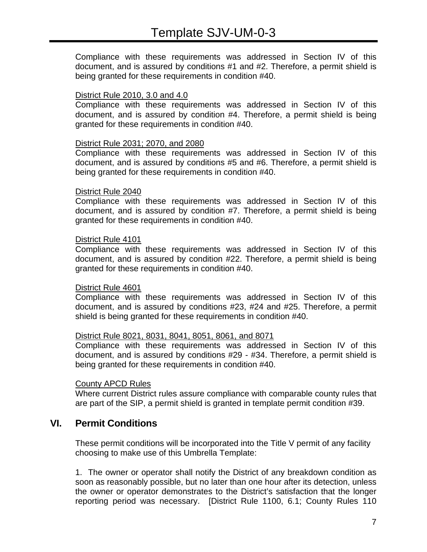Compliance with these requirements was addressed in Section IV of this document, and is assured by conditions #1 and #2. Therefore, a permit shield is being granted for these requirements in condition #40.

#### District Rule 2010, 3.0 and 4.0

Compliance with these requirements was addressed in Section IV of this document, and is assured by condition #4. Therefore, a permit shield is being granted for these requirements in condition #40.

#### District Rule 2031; 2070, and 2080

Compliance with these requirements was addressed in Section IV of this document, and is assured by conditions #5 and #6. Therefore, a permit shield is being granted for these requirements in condition #40.

#### District Rule 2040

Compliance with these requirements was addressed in Section IV of this document, and is assured by condition #7. Therefore, a permit shield is being granted for these requirements in condition #40.

#### District Rule 4101

Compliance with these requirements was addressed in Section IV of this document, and is assured by condition #22. Therefore, a permit shield is being granted for these requirements in condition #40.

#### District Rule 4601

Compliance with these requirements was addressed in Section IV of this document, and is assured by conditions #23, #24 and #25. Therefore, a permit shield is being granted for these requirements in condition #40.

#### District Rule 8021, 8031, 8041, 8051, 8061, and 8071

Compliance with these requirements was addressed in Section IV of this document, and is assured by conditions #29 - #34. Therefore, a permit shield is being granted for these requirements in condition #40.

#### County APCD Rules

Where current District rules assure compliance with comparable county rules that are part of the SIP, a permit shield is granted in template permit condition #39.

#### **VI. Permit Conditions**

These permit conditions will be incorporated into the Title V permit of any facility choosing to make use of this Umbrella Template:

1. The owner or operator shall notify the District of any breakdown condition as soon as reasonably possible, but no later than one hour after its detection, unless the owner or operator demonstrates to the District's satisfaction that the longer reporting period was necessary. [District Rule 1100, 6.1; County Rules 110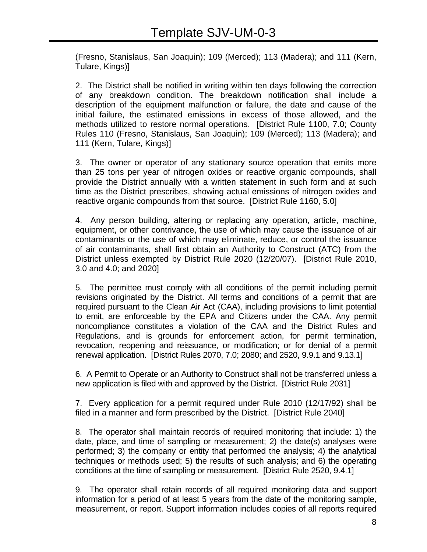(Fresno, Stanislaus, San Joaquin); 109 (Merced); 113 (Madera); and 111 (Kern, Tulare, Kings)]

2. The District shall be notified in writing within ten days following the correction of any breakdown condition. The breakdown notification shall include a description of the equipment malfunction or failure, the date and cause of the initial failure, the estimated emissions in excess of those allowed, and the methods utilized to restore normal operations. [District Rule 1100, 7.0; County Rules 110 (Fresno, Stanislaus, San Joaquin); 109 (Merced); 113 (Madera); and 111 (Kern, Tulare, Kings)]

3. The owner or operator of any stationary source operation that emits more than 25 tons per year of nitrogen oxides or reactive organic compounds, shall provide the District annually with a written statement in such form and at such time as the District prescribes, showing actual emissions of nitrogen oxides and reactive organic compounds from that source. [District Rule 1160, 5.0]

4. Any person building, altering or replacing any operation, article, machine, equipment, or other contrivance, the use of which may cause the issuance of air contaminants or the use of which may eliminate, reduce, or control the issuance of air contaminants, shall first obtain an Authority to Construct (ATC) from the District unless exempted by District Rule 2020 (12/20/07). [District Rule 2010, 3.0 and 4.0; and 2020]

5. The permittee must comply with all conditions of the permit including permit revisions originated by the District. All terms and conditions of a permit that are required pursuant to the Clean Air Act (CAA), including provisions to limit potential to emit, are enforceable by the EPA and Citizens under the CAA. Any permit noncompliance constitutes a violation of the CAA and the District Rules and Regulations, and is grounds for enforcement action, for permit termination, revocation, reopening and reissuance, or modification; or for denial of a permit renewal application. [District Rules 2070, 7.0; 2080; and 2520, 9.9.1 and 9.13.1]

6. A Permit to Operate or an Authority to Construct shall not be transferred unless a new application is filed with and approved by the District. [District Rule 2031]

7. Every application for a permit required under Rule 2010 (12/17/92) shall be filed in a manner and form prescribed by the District. [District Rule 2040]

8. The operator shall maintain records of required monitoring that include: 1) the date, place, and time of sampling or measurement; 2) the date(s) analyses were performed; 3) the company or entity that performed the analysis; 4) the analytical techniques or methods used; 5) the results of such analysis; and 6) the operating conditions at the time of sampling or measurement. [District Rule 2520, 9.4.1]

9. The operator shall retain records of all required monitoring data and support information for a period of at least 5 years from the date of the monitoring sample, measurement, or report. Support information includes copies of all reports required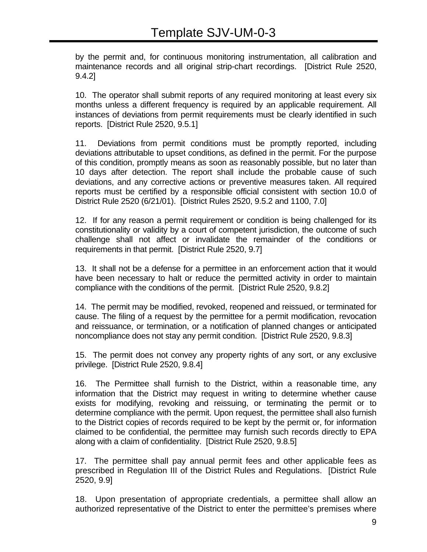by the permit and, for continuous monitoring instrumentation, all calibration and maintenance records and all original strip-chart recordings. [District Rule 2520, 9.4.2]

10. The operator shall submit reports of any required monitoring at least every six months unless a different frequency is required by an applicable requirement. All instances of deviations from permit requirements must be clearly identified in such reports. [District Rule 2520, 9.5.1]

11. Deviations from permit conditions must be promptly reported, including deviations attributable to upset conditions, as defined in the permit. For the purpose of this condition, promptly means as soon as reasonably possible, but no later than 10 days after detection. The report shall include the probable cause of such deviations, and any corrective actions or preventive measures taken. All required reports must be certified by a responsible official consistent with section 10.0 of District Rule 2520 (6/21/01). [District Rules 2520, 9.5.2 and 1100, 7.0]

12. If for any reason a permit requirement or condition is being challenged for its constitutionality or validity by a court of competent jurisdiction, the outcome of such challenge shall not affect or invalidate the remainder of the conditions or requirements in that permit. [District Rule 2520, 9.7]

13. It shall not be a defense for a permittee in an enforcement action that it would have been necessary to halt or reduce the permitted activity in order to maintain compliance with the conditions of the permit. [District Rule 2520, 9.8.2]

14. The permit may be modified, revoked, reopened and reissued, or terminated for cause. The filing of a request by the permittee for a permit modification, revocation and reissuance, or termination, or a notification of planned changes or anticipated noncompliance does not stay any permit condition. [District Rule 2520, 9.8.3]

15. The permit does not convey any property rights of any sort, or any exclusive privilege. [District Rule 2520, 9.8.4]

16. The Permittee shall furnish to the District, within a reasonable time, any information that the District may request in writing to determine whether cause exists for modifying, revoking and reissuing, or terminating the permit or to determine compliance with the permit. Upon request, the permittee shall also furnish to the District copies of records required to be kept by the permit or, for information claimed to be confidential, the permittee may furnish such records directly to EPA along with a claim of confidentiality. [District Rule 2520, 9.8.5]

17. The permittee shall pay annual permit fees and other applicable fees as prescribed in Regulation III of the District Rules and Regulations. [District Rule 2520, 9.9]

18. Upon presentation of appropriate credentials, a permittee shall allow an authorized representative of the District to enter the permittee's premises where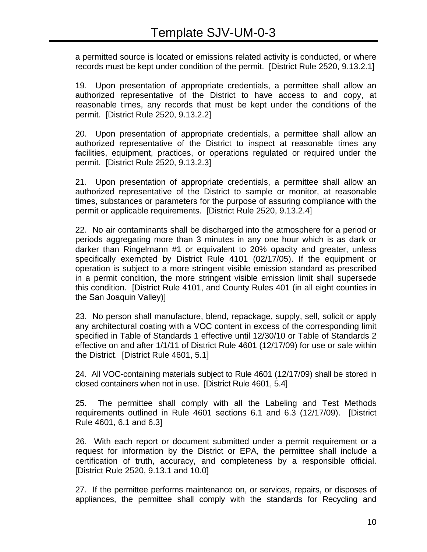a permitted source is located or emissions related activity is conducted, or where records must be kept under condition of the permit. [District Rule 2520, 9.13.2.1]

19. Upon presentation of appropriate credentials, a permittee shall allow an authorized representative of the District to have access to and copy, at reasonable times, any records that must be kept under the conditions of the permit. [District Rule 2520, 9.13.2.2]

20. Upon presentation of appropriate credentials, a permittee shall allow an authorized representative of the District to inspect at reasonable times any facilities, equipment, practices, or operations regulated or required under the permit. [District Rule 2520, 9.13.2.3]

21. Upon presentation of appropriate credentials, a permittee shall allow an authorized representative of the District to sample or monitor, at reasonable times, substances or parameters for the purpose of assuring compliance with the permit or applicable requirements. [District Rule 2520, 9.13.2.4]

22. No air contaminants shall be discharged into the atmosphere for a period or periods aggregating more than 3 minutes in any one hour which is as dark or darker than Ringelmann #1 or equivalent to 20% opacity and greater, unless specifically exempted by District Rule 4101 (02/17/05). If the equipment or operation is subject to a more stringent visible emission standard as prescribed in a permit condition, the more stringent visible emission limit shall supersede this condition. [District Rule 4101, and County Rules 401 (in all eight counties in the San Joaquin Valley)]

23. No person shall manufacture, blend, repackage, supply, sell, solicit or apply any architectural coating with a VOC content in excess of the corresponding limit specified in Table of Standards 1 effective until 12/30/10 or Table of Standards 2 effective on and after 1/1/11 of District Rule 4601 (12/17/09) for use or sale within the District. [District Rule 4601, 5.1]

24. All VOC-containing materials subject to Rule 4601 (12/17/09) shall be stored in closed containers when not in use. [District Rule 4601, 5.4]

25. The permittee shall comply with all the Labeling and Test Methods requirements outlined in Rule 4601 sections 6.1 and 6.3 (12/17/09). [District Rule 4601, 6.1 and 6.3]

26. With each report or document submitted under a permit requirement or a request for information by the District or EPA, the permittee shall include a certification of truth, accuracy, and completeness by a responsible official. [District Rule 2520, 9.13.1 and 10.0]

27. If the permittee performs maintenance on, or services, repairs, or disposes of appliances, the permittee shall comply with the standards for Recycling and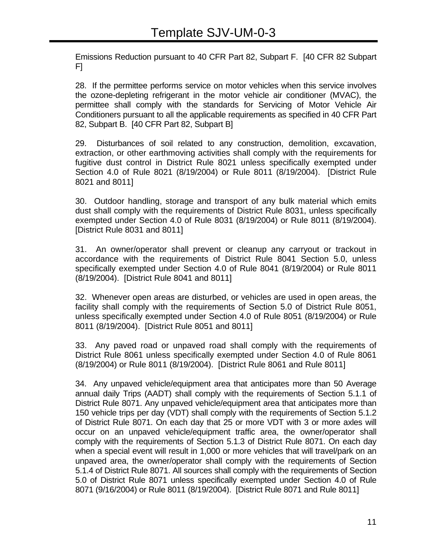Emissions Reduction pursuant to 40 CFR Part 82, Subpart F. [40 CFR 82 Subpart F]

28. If the permittee performs service on motor vehicles when this service involves the ozone-depleting refrigerant in the motor vehicle air conditioner (MVAC), the permittee shall comply with the standards for Servicing of Motor Vehicle Air Conditioners pursuant to all the applicable requirements as specified in 40 CFR Part 82, Subpart B. [40 CFR Part 82, Subpart B]

29. Disturbances of soil related to any construction, demolition, excavation, extraction, or other earthmoving activities shall comply with the requirements for fugitive dust control in District Rule 8021 unless specifically exempted under Section 4.0 of Rule 8021 (8/19/2004) or Rule 8011 (8/19/2004). [District Rule 8021 and 8011]

30. Outdoor handling, storage and transport of any bulk material which emits dust shall comply with the requirements of District Rule 8031, unless specifically exempted under Section 4.0 of Rule 8031 (8/19/2004) or Rule 8011 (8/19/2004). [District Rule 8031 and 8011]

31. An owner/operator shall prevent or cleanup any carryout or trackout in accordance with the requirements of District Rule 8041 Section 5.0, unless specifically exempted under Section 4.0 of Rule 8041 (8/19/2004) or Rule 8011 (8/19/2004). [District Rule 8041 and 8011]

32. Whenever open areas are disturbed, or vehicles are used in open areas, the facility shall comply with the requirements of Section 5.0 of District Rule 8051, unless specifically exempted under Section 4.0 of Rule 8051 (8/19/2004) or Rule 8011 (8/19/2004). [District Rule 8051 and 8011]

33. Any paved road or unpaved road shall comply with the requirements of District Rule 8061 unless specifically exempted under Section 4.0 of Rule 8061 (8/19/2004) or Rule 8011 (8/19/2004). [District Rule 8061 and Rule 8011]

34. Any unpaved vehicle/equipment area that anticipates more than 50 Average annual daily Trips (AADT) shall comply with the requirements of Section 5.1.1 of District Rule 8071. Any unpaved vehicle/equipment area that anticipates more than 150 vehicle trips per day (VDT) shall comply with the requirements of Section 5.1.2 of District Rule 8071. On each day that 25 or more VDT with 3 or more axles will occur on an unpaved vehicle/equipment traffic area, the owner/operator shall comply with the requirements of Section 5.1.3 of District Rule 8071. On each day when a special event will result in 1,000 or more vehicles that will travel/park on an unpaved area, the owner/operator shall comply with the requirements of Section 5.1.4 of District Rule 8071. All sources shall comply with the requirements of Section 5.0 of District Rule 8071 unless specifically exempted under Section 4.0 of Rule 8071 (9/16/2004) or Rule 8011 (8/19/2004). [District Rule 8071 and Rule 8011]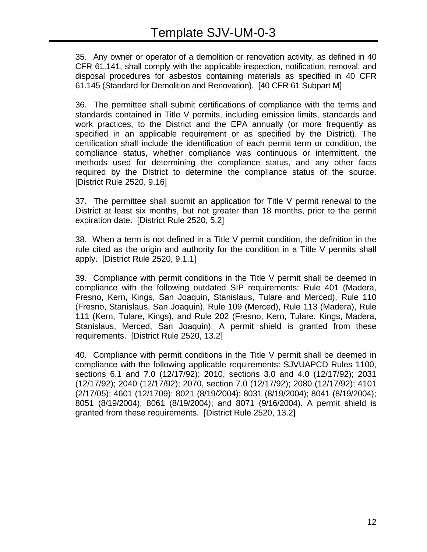35. Any owner or operator of a demolition or renovation activity, as defined in 40 CFR 61.141, shall comply with the applicable inspection, notification, removal, and disposal procedures for asbestos containing materials as specified in 40 CFR 61.145 (Standard for Demolition and Renovation). [40 CFR 61 Subpart M]

36. The permittee shall submit certifications of compliance with the terms and standards contained in Title V permits, including emission limits, standards and work practices, to the District and the EPA annually (or more frequently as specified in an applicable requirement or as specified by the District). The certification shall include the identification of each permit term or condition, the compliance status, whether compliance was continuous or intermittent, the methods used for determining the compliance status, and any other facts required by the District to determine the compliance status of the source. [District Rule 2520, 9.16]

37. The permittee shall submit an application for Title V permit renewal to the District at least six months, but not greater than 18 months, prior to the permit expiration date. [District Rule 2520, 5.2]

38. When a term is not defined in a Title V permit condition, the definition in the rule cited as the origin and authority for the condition in a Title V permits shall apply. [District Rule 2520, 9.1.1]

39. Compliance with permit conditions in the Title V permit shall be deemed in compliance with the following outdated SIP requirements: Rule 401 (Madera, Fresno, Kern, Kings, San Joaquin, Stanislaus, Tulare and Merced), Rule 110 (Fresno, Stanislaus, San Joaquin), Rule 109 (Merced), Rule 113 (Madera), Rule 111 (Kern, Tulare, Kings), and Rule 202 (Fresno, Kern, Tulare, Kings, Madera, Stanislaus, Merced, San Joaquin). A permit shield is granted from these requirements. [District Rule 2520, 13.2]

40. Compliance with permit conditions in the Title V permit shall be deemed in compliance with the following applicable requirements: SJVUAPCD Rules 1100, sections 6.1 and 7.0 (12/17/92); 2010, sections 3.0 and 4.0 (12/17/92); 2031 (12/17/92); 2040 (12/17/92); 2070, section 7.0 (12/17/92); 2080 (12/17/92); 4101 (2/17/05); 4601 (12/1709); 8021 (8/19/2004); 8031 (8/19/2004); 8041 (8/19/2004); 8051 (8/19/2004); 8061 (8/19/2004); and 8071 (9/16/2004). A permit shield is granted from these requirements. [District Rule 2520, 13.2]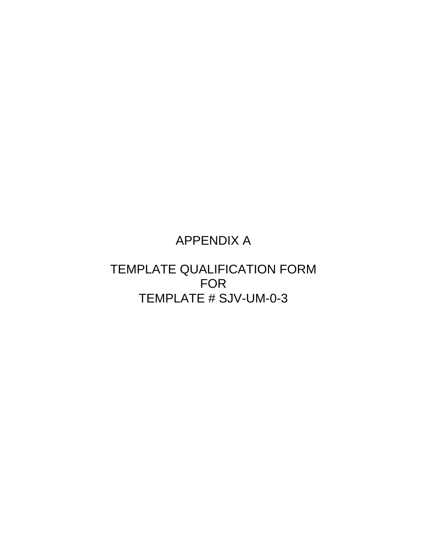## APPENDIX A

## TEMPLATE QUALIFICATION FORM FOR TEMPLATE # SJV-UM-0-3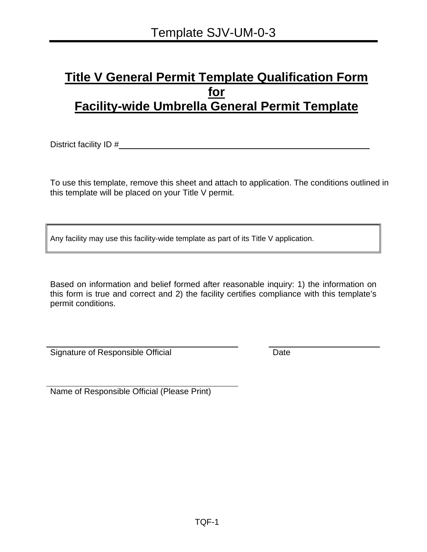## **Title V General Permit Template Qualification Form for Facility-wide Umbrella General Permit Template**

District facility ID #\_\_\_\_\_\_\_\_\_\_\_\_\_\_\_\_\_\_\_\_\_\_\_\_\_\_\_\_\_\_\_\_\_\_\_\_\_\_\_\_\_\_\_\_\_\_\_\_\_\_\_\_\_\_

To use this template, remove this sheet and attach to application. The conditions outlined in this template will be placed on your Title V permit.

Any facility may use this facility-wide template as part of its Title V application.

Based on information and belief formed after reasonable inquiry: 1) the information on this form is true and correct and 2) the facility certifies compliance with this template's permit conditions.

Signature of Responsible Official Date

Name of Responsible Official (Please Print)